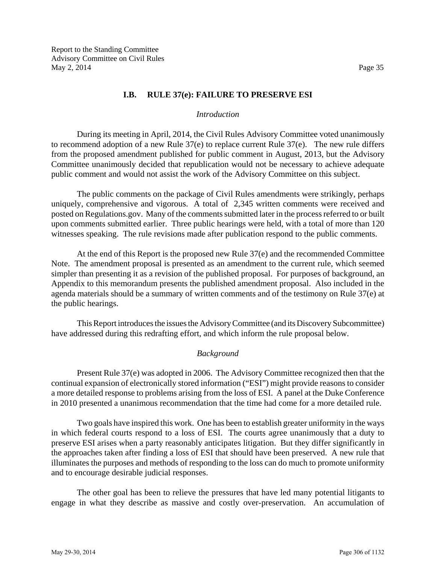# **I.B. RULE 37(e): FAILURE TO PRESERVE ESI**

#### *Introduction*

During its meeting in April, 2014, the Civil Rules Advisory Committee voted unanimously to recommend adoption of a new Rule 37(e) to replace current Rule 37(e). The new rule differs from the proposed amendment published for public comment in August, 2013, but the Advisory Committee unanimously decided that republication would not be necessary to achieve adequate public comment and would not assist the work of the Advisory Committee on this subject.

The public comments on the package of Civil Rules amendments were strikingly, perhaps uniquely, comprehensive and vigorous. A total of 2,345 written comments were received and posted on Regulations.gov. Many of the comments submitted later in the process referred to or built upon comments submitted earlier. Three public hearings were held, with a total of more than 120 witnesses speaking. The rule revisions made after publication respond to the public comments.

At the end of this Report is the proposed new Rule 37(e) and the recommended Committee Note. The amendment proposal is presented as an amendment to the current rule, which seemed simpler than presenting it as a revision of the published proposal. For purposes of background, an Appendix to this memorandum presents the published amendment proposal. Also included in the agenda materials should be a summary of written comments and of the testimony on Rule 37(e) at the public hearings.

This Report introduces the issues the Advisory Committee (and its Discovery Subcommittee) have addressed during this redrafting effort, and which inform the rule proposal below.

# *Background*

Present Rule 37(e) was adopted in 2006. The Advisory Committee recognized then that the continual expansion of electronically stored information ("ESI") might provide reasons to consider a more detailed response to problems arising from the loss of ESI. A panel at the Duke Conference in 2010 presented a unanimous recommendation that the time had come for a more detailed rule.

Two goals have inspired this work. One has been to establish greater uniformity in the ways in which federal courts respond to a loss of ESI. The courts agree unanimously that a duty to preserve ESI arises when a party reasonably anticipates litigation. But they differ significantly in the approaches taken after finding a loss of ESI that should have been preserved. A new rule that illuminates the purposes and methods of responding to the loss can do much to promote uniformity and to encourage desirable judicial responses.

The other goal has been to relieve the pressures that have led many potential litigants to engage in what they describe as massive and costly over-preservation. An accumulation of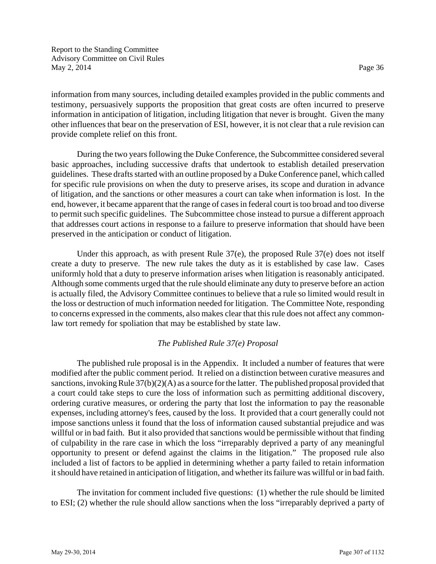information from many sources, including detailed examples provided in the public comments and testimony, persuasively supports the proposition that great costs are often incurred to preserve information in anticipation of litigation, including litigation that never is brought. Given the many other influences that bear on the preservation of ESI, however, it is not clear that a rule revision can provide complete relief on this front.

During the two years following the Duke Conference, the Subcommittee considered several basic approaches, including successive drafts that undertook to establish detailed preservation guidelines. These drafts started with an outline proposed by a Duke Conference panel, which called for specific rule provisions on when the duty to preserve arises, its scope and duration in advance of litigation, and the sanctions or other measures a court can take when information is lost. In the end, however, it became apparent that the range of cases in federal court is too broad and too diverse to permit such specific guidelines. The Subcommittee chose instead to pursue a different approach that addresses court actions in response to a failure to preserve information that should have been preserved in the anticipation or conduct of litigation.

Under this approach, as with present Rule 37(e), the proposed Rule 37(e) does not itself create a duty to preserve. The new rule takes the duty as it is established by case law. Cases uniformly hold that a duty to preserve information arises when litigation is reasonably anticipated. Although some comments urged that the rule should eliminate any duty to preserve before an action is actually filed, the Advisory Committee continues to believe that a rule so limited would result in the loss or destruction of much information needed for litigation. The Committee Note, responding to concerns expressed in the comments, also makes clear that this rule does not affect any commonlaw tort remedy for spoliation that may be established by state law.

# *The Published Rule 37(e) Proposal*

The published rule proposal is in the Appendix. It included a number of features that were modified after the public comment period. It relied on a distinction between curative measures and sanctions, invoking Rule  $37(b)(2)(A)$  as a source for the latter. The published proposal provided that a court could take steps to cure the loss of information such as permitting additional discovery, ordering curative measures, or ordering the party that lost the information to pay the reasonable expenses, including attorney's fees, caused by the loss. It provided that a court generally could not impose sanctions unless it found that the loss of information caused substantial prejudice and was willful or in bad faith. But it also provided that sanctions would be permissible without that finding of culpability in the rare case in which the loss "irreparably deprived a party of any meaningful opportunity to present or defend against the claims in the litigation." The proposed rule also included a list of factors to be applied in determining whether a party failed to retain information it should have retained in anticipation of litigation, and whether its failure was willful or in bad faith.

The invitation for comment included five questions: (1) whether the rule should be limited to ESI; (2) whether the rule should allow sanctions when the loss "irreparably deprived a party of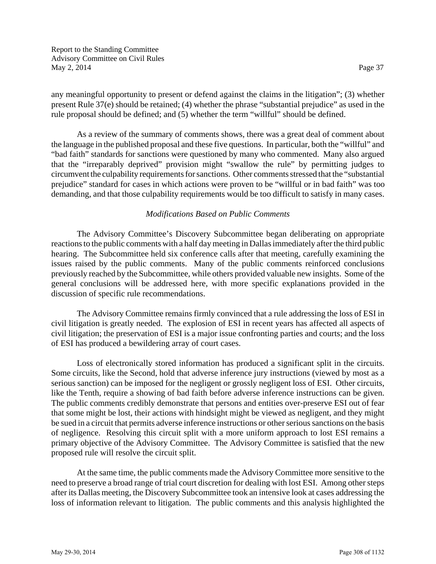any meaningful opportunity to present or defend against the claims in the litigation"; (3) whether present Rule 37(e) should be retained; (4) whether the phrase "substantial prejudice" as used in the rule proposal should be defined; and (5) whether the term "willful" should be defined.

As a review of the summary of comments shows, there was a great deal of comment about the language in the published proposal and these five questions. In particular, both the "willful" and "bad faith" standards for sanctions were questioned by many who commented. Many also argued that the "irreparably deprived" provision might "swallow the rule" by permitting judges to circumvent the culpability requirements for sanctions. Other comments stressed that the "substantial prejudice" standard for cases in which actions were proven to be "willful or in bad faith" was too demanding, and that those culpability requirements would be too difficult to satisfy in many cases.

#### *Modifications Based on Public Comments*

The Advisory Committee's Discovery Subcommittee began deliberating on appropriate reactions to the public comments with a half day meeting in Dallas immediately after the third public hearing. The Subcommittee held six conference calls after that meeting, carefully examining the issues raised by the public comments. Many of the public comments reinforced conclusions previously reached by the Subcommittee, while others provided valuable new insights. Some of the general conclusions will be addressed here, with more specific explanations provided in the discussion of specific rule recommendations.

The Advisory Committee remains firmly convinced that a rule addressing the loss of ESI in civil litigation is greatly needed. The explosion of ESI in recent years has affected all aspects of civil litigation; the preservation of ESI is a major issue confronting parties and courts; and the loss of ESI has produced a bewildering array of court cases.

Loss of electronically stored information has produced a significant split in the circuits. Some circuits, like the Second, hold that adverse inference jury instructions (viewed by most as a serious sanction) can be imposed for the negligent or grossly negligent loss of ESI. Other circuits, like the Tenth, require a showing of bad faith before adverse inference instructions can be given. The public comments credibly demonstrate that persons and entities over-preserve ESI out of fear that some might be lost, their actions with hindsight might be viewed as negligent, and they might be sued in a circuit that permits adverse inference instructions or other serious sanctions on the basis of negligence. Resolving this circuit split with a more uniform approach to lost ESI remains a primary objective of the Advisory Committee. The Advisory Committee is satisfied that the new proposed rule will resolve the circuit split.

At the same time, the public comments made the Advisory Committee more sensitive to the need to preserve a broad range of trial court discretion for dealing with lost ESI. Among other steps after its Dallas meeting, the Discovery Subcommittee took an intensive look at cases addressing the loss of information relevant to litigation. The public comments and this analysis highlighted the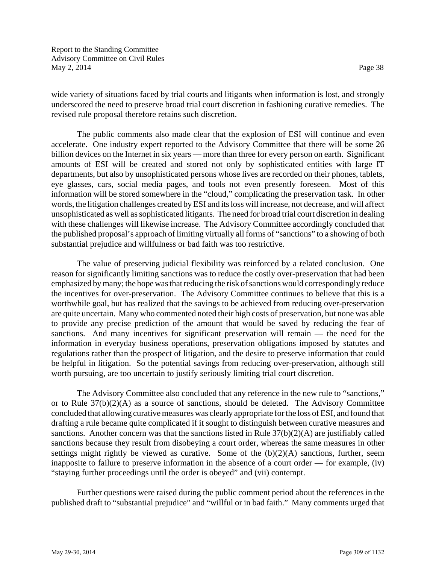wide variety of situations faced by trial courts and litigants when information is lost, and strongly underscored the need to preserve broad trial court discretion in fashioning curative remedies. The revised rule proposal therefore retains such discretion.

The public comments also made clear that the explosion of ESI will continue and even accelerate. One industry expert reported to the Advisory Committee that there will be some 26 billion devices on the Internet in six years — more than three for every person on earth. Significant amounts of ESI will be created and stored not only by sophisticated entities with large IT departments, but also by unsophisticated persons whose lives are recorded on their phones, tablets, eye glasses, cars, social media pages, and tools not even presently foreseen. Most of this information will be stored somewhere in the "cloud," complicating the preservation task. In other words, the litigation challenges created by ESI and its loss will increase, not decrease, and will affect unsophisticated as well as sophisticated litigants. The need for broad trial court discretion in dealing with these challenges will likewise increase. The Advisory Committee accordingly concluded that the published proposal's approach of limiting virtually all forms of "sanctions" to a showing of both substantial prejudice and willfulness or bad faith was too restrictive.

The value of preserving judicial flexibility was reinforced by a related conclusion. One reason for significantly limiting sanctions was to reduce the costly over-preservation that had been emphasized by many; the hope was that reducing the risk of sanctions would correspondingly reduce the incentives for over-preservation. The Advisory Committee continues to believe that this is a worthwhile goal, but has realized that the savings to be achieved from reducing over-preservation are quite uncertain. Many who commented noted their high costs of preservation, but none was able to provide any precise prediction of the amount that would be saved by reducing the fear of sanctions. And many incentives for significant preservation will remain — the need for the information in everyday business operations, preservation obligations imposed by statutes and regulations rather than the prospect of litigation, and the desire to preserve information that could be helpful in litigation. So the potential savings from reducing over-preservation, although still worth pursuing, are too uncertain to justify seriously limiting trial court discretion.

The Advisory Committee also concluded that any reference in the new rule to "sanctions," or to Rule 37(b)(2)(A) as a source of sanctions, should be deleted. The Advisory Committee concluded that allowing curative measures was clearly appropriate for the loss of ESI, and found that drafting a rule became quite complicated if it sought to distinguish between curative measures and sanctions. Another concern was that the sanctions listed in Rule 37(b)(2)(A) are justifiably called sanctions because they result from disobeying a court order, whereas the same measures in other settings might rightly be viewed as curative. Some of the  $(b)(2)(A)$  sanctions, further, seem inapposite to failure to preserve information in the absence of a court order — for example, (iv) "staying further proceedings until the order is obeyed" and (vii) contempt.

Further questions were raised during the public comment period about the references in the published draft to "substantial prejudice" and "willful or in bad faith." Many comments urged that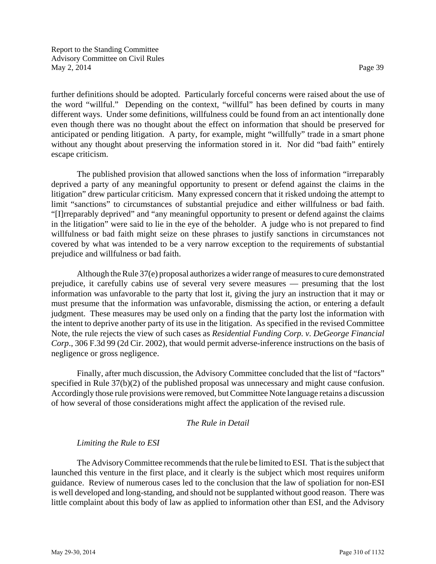further definitions should be adopted. Particularly forceful concerns were raised about the use of the word "willful." Depending on the context, "willful" has been defined by courts in many different ways. Under some definitions, willfulness could be found from an act intentionally done even though there was no thought about the effect on information that should be preserved for anticipated or pending litigation. A party, for example, might "willfully" trade in a smart phone without any thought about preserving the information stored in it. Nor did "bad faith" entirely escape criticism.

The published provision that allowed sanctions when the loss of information "irreparably deprived a party of any meaningful opportunity to present or defend against the claims in the litigation" drew particular criticism. Many expressed concern that it risked undoing the attempt to limit "sanctions" to circumstances of substantial prejudice and either willfulness or bad faith. "[I]rreparably deprived" and "any meaningful opportunity to present or defend against the claims in the litigation" were said to lie in the eye of the beholder. A judge who is not prepared to find willfulness or bad faith might seize on these phrases to justify sanctions in circumstances not covered by what was intended to be a very narrow exception to the requirements of substantial prejudice and willfulness or bad faith.

Although the Rule 37(e) proposal authorizes a wider range of measures to cure demonstrated prejudice, it carefully cabins use of several very severe measures — presuming that the lost information was unfavorable to the party that lost it, giving the jury an instruction that it may or must presume that the information was unfavorable, dismissing the action, or entering a default judgment. These measures may be used only on a finding that the party lost the information with the intent to deprive another party of its use in the litigation. As specified in the revised Committee Note, the rule rejects the view of such cases as *Residential Funding Corp. v. DeGeorge Financial Corp*., 306 F.3d 99 (2d Cir. 2002), that would permit adverse-inference instructions on the basis of negligence or gross negligence.

Finally, after much discussion, the Advisory Committee concluded that the list of "factors" specified in Rule 37(b)(2) of the published proposal was unnecessary and might cause confusion. Accordingly those rule provisions were removed, but Committee Note language retains a discussion of how several of those considerations might affect the application of the revised rule.

# *The Rule in Detail*

# *Limiting the Rule to ESI*

The Advisory Committee recommends that the rule be limited to ESI. That is the subject that launched this venture in the first place, and it clearly is the subject which most requires uniform guidance. Review of numerous cases led to the conclusion that the law of spoliation for non-ESI is well developed and long-standing, and should not be supplanted without good reason. There was little complaint about this body of law as applied to information other than ESI, and the Advisory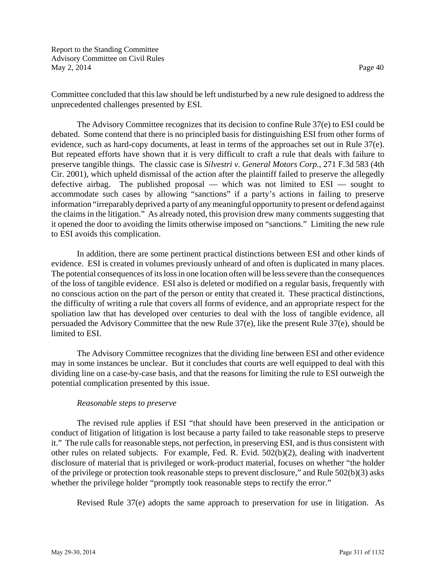Committee concluded that this law should be left undisturbed by a new rule designed to address the unprecedented challenges presented by ESI.

The Advisory Committee recognizes that its decision to confine Rule 37(e) to ESI could be debated. Some contend that there is no principled basis for distinguishing ESI from other forms of evidence, such as hard-copy documents, at least in terms of the approaches set out in Rule 37(e). But repeated efforts have shown that it is very difficult to craft a rule that deals with failure to preserve tangible things. The classic case is *Silvestri v. General Motors Corp.*, 271 F.3d 583 (4th Cir. 2001), which upheld dismissal of the action after the plaintiff failed to preserve the allegedly defective airbag. The published proposal — which was not limited to ESI — sought to accommodate such cases by allowing "sanctions" if a party's actions in failing to preserve information "irreparably deprived a party of any meaningful opportunity to present or defend against the claims in the litigation." As already noted, this provision drew many comments suggesting that it opened the door to avoiding the limits otherwise imposed on "sanctions." Limiting the new rule to ESI avoids this complication.

In addition, there are some pertinent practical distinctions between ESI and other kinds of evidence. ESI is created in volumes previously unheard of and often is duplicated in many places. The potential consequences of its loss in one location often will be less severe than the consequences of the loss of tangible evidence. ESI also is deleted or modified on a regular basis, frequently with no conscious action on the part of the person or entity that created it. These practical distinctions, the difficulty of writing a rule that covers all forms of evidence, and an appropriate respect for the spoliation law that has developed over centuries to deal with the loss of tangible evidence, all persuaded the Advisory Committee that the new Rule 37(e), like the present Rule 37(e), should be limited to ESI.

The Advisory Committee recognizes that the dividing line between ESI and other evidence may in some instances be unclear. But it concludes that courts are well equipped to deal with this dividing line on a case-by-case basis, and that the reasons for limiting the rule to ESI outweigh the potential complication presented by this issue.

#### *Reasonable steps to preserve*

The revised rule applies if ESI "that should have been preserved in the anticipation or conduct of litigation of litigation is lost because a party failed to take reasonable steps to preserve it." The rule calls for reasonable steps, not perfection, in preserving ESI, and is thus consistent with other rules on related subjects. For example, Fed. R. Evid. 502(b)(2), dealing with inadvertent disclosure of material that is privileged or work-product material, focuses on whether "the holder of the privilege or protection took reasonable steps to prevent disclosure," and Rule 502(b)(3) asks whether the privilege holder "promptly took reasonable steps to rectify the error."

Revised Rule 37(e) adopts the same approach to preservation for use in litigation. As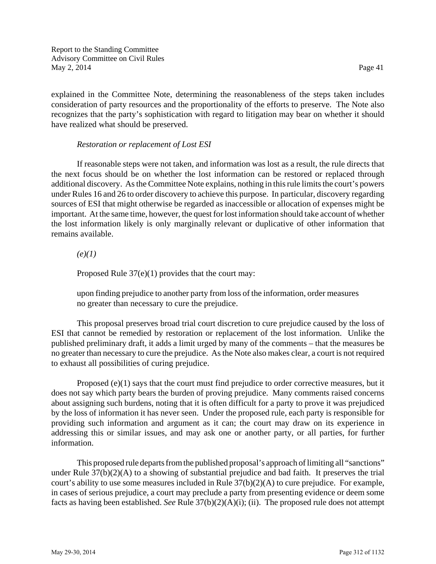explained in the Committee Note, determining the reasonableness of the steps taken includes consideration of party resources and the proportionality of the efforts to preserve. The Note also recognizes that the party's sophistication with regard to litigation may bear on whether it should have realized what should be preserved.

# *Restoration or replacement of Lost ESI*

If reasonable steps were not taken, and information was lost as a result, the rule directs that the next focus should be on whether the lost information can be restored or replaced through additional discovery. As the Committee Note explains, nothing in this rule limits the court's powers under Rules 16 and 26 to order discovery to achieve this purpose. In particular, discovery regarding sources of ESI that might otherwise be regarded as inaccessible or allocation of expenses might be important. At the same time, however, the quest for lost information should take account of whether the lost information likely is only marginally relevant or duplicative of other information that remains available.

### *(e)(1)*

Proposed Rule 37(e)(1) provides that the court may:

upon finding prejudice to another party from loss of the information, order measures no greater than necessary to cure the prejudice.

This proposal preserves broad trial court discretion to cure prejudice caused by the loss of ESI that cannot be remedied by restoration or replacement of the lost information. Unlike the published preliminary draft, it adds a limit urged by many of the comments – that the measures be no greater than necessary to cure the prejudice. As the Note also makes clear, a court is not required to exhaust all possibilities of curing prejudice.

Proposed  $(e)(1)$  says that the court must find prejudice to order corrective measures, but it does not say which party bears the burden of proving prejudice. Many comments raised concerns about assigning such burdens, noting that it is often difficult for a party to prove it was prejudiced by the loss of information it has never seen. Under the proposed rule, each party is responsible for providing such information and argument as it can; the court may draw on its experience in addressing this or similar issues, and may ask one or another party, or all parties, for further information.

This proposed rule departs from the published proposal's approach of limiting all "sanctions" under Rule 37(b)(2)(A) to a showing of substantial prejudice and bad faith. It preserves the trial court's ability to use some measures included in Rule 37(b)(2)(A) to cure prejudice. For example, in cases of serious prejudice, a court may preclude a party from presenting evidence or deem some facts as having been established. *See* Rule 37(b)(2)(A)(i); (ii). The proposed rule does not attempt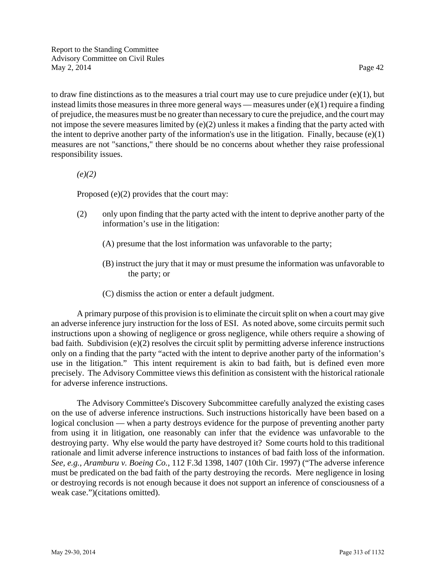to draw fine distinctions as to the measures a trial court may use to cure prejudice under  $(e)(1)$ , but instead limits those measures in three more general ways — measures under (e)(1) require a finding of prejudice, the measures must be no greater than necessary to cure the prejudice, and the court may not impose the severe measures limited by (e)(2) unless it makes a finding that the party acted with the intent to deprive another party of the information's use in the litigation. Finally, because  $(e)(1)$ measures are not "sanctions," there should be no concerns about whether they raise professional responsibility issues.

*(e)(2)*

Proposed (e)(2) provides that the court may:

- (2) only upon finding that the party acted with the intent to deprive another party of the information's use in the litigation:
	- (A) presume that the lost information was unfavorable to the party;
	- (B) instruct the jury that it may or must presume the information was unfavorable to the party; or
	- (C) dismiss the action or enter a default judgment.

A primary purpose of this provision is to eliminate the circuit split on when a court may give an adverse inference jury instruction for the loss of ESI. As noted above, some circuits permit such instructions upon a showing of negligence or gross negligence, while others require a showing of bad faith. Subdivision (e)(2) resolves the circuit split by permitting adverse inference instructions only on a finding that the party "acted with the intent to deprive another party of the information's use in the litigation." This intent requirement is akin to bad faith, but is defined even more precisely. The Advisory Committee views this definition as consistent with the historical rationale for adverse inference instructions.

The Advisory Committee's Discovery Subcommittee carefully analyzed the existing cases on the use of adverse inference instructions. Such instructions historically have been based on a logical conclusion — when a party destroys evidence for the purpose of preventing another party from using it in litigation, one reasonably can infer that the evidence was unfavorable to the destroying party. Why else would the party have destroyed it? Some courts hold to this traditional rationale and limit adverse inference instructions to instances of bad faith loss of the information. *See, e.g., Aramburu v. Boeing Co.*, 112 F.3d 1398, 1407 (10th Cir. 1997) ("The adverse inference must be predicated on the bad faith of the party destroying the records. Mere negligence in losing or destroying records is not enough because it does not support an inference of consciousness of a weak case.")(citations omitted).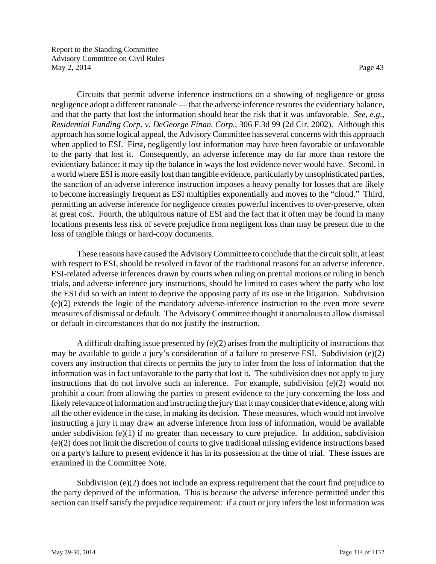Circuits that permit adverse inference instructions on a showing of negligence or gross negligence adopt a different rationale — that the adverse inference restores the evidentiary balance, and that the party that lost the information should bear the risk that it was unfavorable. *See, e.g., Residential Funding Corp. v. DeGeorge Finan. Corp.*, 306 F.3d 99 (2d Cir. 2002). Although this approach has some logical appeal, the Advisory Committee has several concerns with this approach when applied to ESI. First, negligently lost information may have been favorable or unfavorable to the party that lost it. Consequently, an adverse inference may do far more than restore the evidentiary balance; it may tip the balance in ways the lost evidence never would have. Second, in a world where ESI is more easily lost than tangible evidence, particularly by unsophisticated parties, the sanction of an adverse inference instruction imposes a heavy penalty for losses that are likely to become increasingly frequent as ESI multiplies exponentially and moves to the "cloud." Third, permitting an adverse inference for negligence creates powerful incentives to over-preserve, often at great cost. Fourth, the ubiquitous nature of ESI and the fact that it often may be found in many locations presents less risk of severe prejudice from negligent loss than may be present due to the loss of tangible things or hard-copy documents.

These reasons have caused the Advisory Committee to conclude that the circuit split, at least with respect to ESI, should be resolved in favor of the traditional reasons for an adverse inference. ESI-related adverse inferences drawn by courts when ruling on pretrial motions or ruling in bench trials, and adverse inference jury instructions, should be limited to cases where the party who lost the ESI did so with an intent to deprive the opposing party of its use in the litigation. Subdivision (e)(2) extends the logic of the mandatory adverse-inference instruction to the even more severe measures of dismissal or default. The Advisory Committee thought it anomalous to allow dismissal or default in circumstances that do not justify the instruction.

A difficult drafting issue presented by  $(e)(2)$  arises from the multiplicity of instructions that may be available to guide a jury's consideration of a failure to preserve ESI. Subdivision (e)(2) covers any instruction that directs or permits the jury to infer from the loss of information that the information was in fact unfavorable to the party that lost it. The subdivision does not apply to jury instructions that do not involve such an inference. For example, subdivision (e)(2) would not prohibit a court from allowing the parties to present evidence to the jury concerning the loss and likely relevance of information and instructing the jury that it may consider that evidence, along with all the other evidence in the case, in making its decision. These measures, which would not involve instructing a jury it may draw an adverse inference from loss of information, would be available under subdivision  $(e)(1)$  if no greater than necessary to cure prejudice. In addition, subdivision (e)(2) does not limit the discretion of courts to give traditional missing evidence instructions based on a party's failure to present evidence it has in its possession at the time of trial. These issues are examined in the Committee Note.

Subdivision (e)(2) does not include an express requirement that the court find prejudice to the party deprived of the information. This is because the adverse inference permitted under this section can itself satisfy the prejudice requirement: if a court or jury infers the lost information was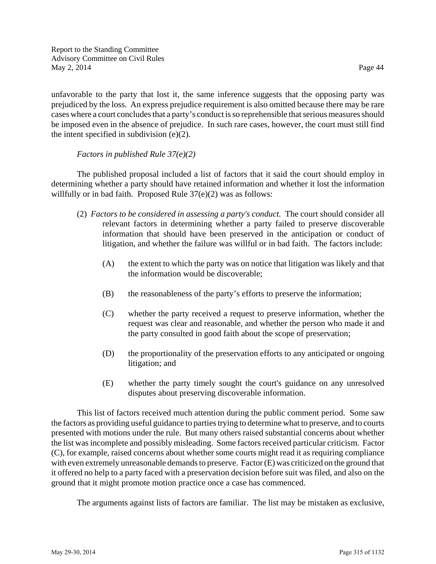unfavorable to the party that lost it, the same inference suggests that the opposing party was prejudiced by the loss. An express prejudice requirement is also omitted because there may be rare cases where a court concludes that a party's conduct is so reprehensible that serious measures should be imposed even in the absence of prejudice. In such rare cases, however, the court must still find the intent specified in subdivision (e)(2).

*Factors in published Rule 37(e)(2)*

The published proposal included a list of factors that it said the court should employ in determining whether a party should have retained information and whether it lost the information willfully or in bad faith. Proposed Rule 37(e)(2) was as follows:

- (2) *Factors to be considered in assessing a party's conduct.* The court should consider all relevant factors in determining whether a party failed to preserve discoverable information that should have been preserved in the anticipation or conduct of litigation, and whether the failure was willful or in bad faith. The factors include:
	- (A) the extent to which the party was on notice that litigation was likely and that the information would be discoverable;
	- (B) the reasonableness of the party's efforts to preserve the information;
	- (C) whether the party received a request to preserve information, whether the request was clear and reasonable, and whether the person who made it and the party consulted in good faith about the scope of preservation;
	- (D) the proportionality of the preservation efforts to any anticipated or ongoing litigation; and
	- (E) whether the party timely sought the court's guidance on any unresolved disputes about preserving discoverable information.

This list of factors received much attention during the public comment period. Some saw the factors as providing useful guidance to parties trying to determine what to preserve, and to courts presented with motions under the rule. But many others raised substantial concerns about whether the list was incomplete and possibly misleading. Some factors received particular criticism. Factor (C), for example, raised concerns about whether some courts might read it as requiring compliance with even extremely unreasonable demands to preserve. Factor (E) was criticized on the ground that it offered no help to a party faced with a preservation decision before suit was filed, and also on the ground that it might promote motion practice once a case has commenced.

The arguments against lists of factors are familiar. The list may be mistaken as exclusive,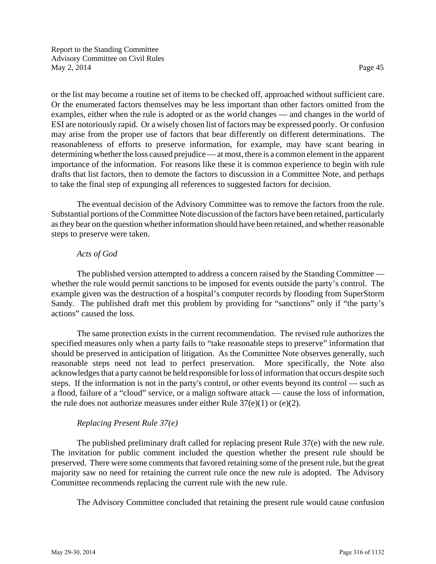or the list may become a routine set of items to be checked off, approached without sufficient care. Or the enumerated factors themselves may be less important than other factors omitted from the examples, either when the rule is adopted or as the world changes — and changes in the world of ESI are notoriously rapid. Or a wisely chosen list of factors may be expressed poorly. Or confusion may arise from the proper use of factors that bear differently on different determinations. The reasonableness of efforts to preserve information, for example, may have scant bearing in determining whether the loss caused prejudice — at most, there is a common element in the apparent importance of the information. For reasons like these it is common experience to begin with rule drafts that list factors, then to demote the factors to discussion in a Committee Note, and perhaps to take the final step of expunging all references to suggested factors for decision.

The eventual decision of the Advisory Committee was to remove the factors from the rule. Substantial portions of the Committee Note discussion of the factors have been retained, particularly as they bear on the question whether information should have been retained, and whether reasonable steps to preserve were taken.

### *Acts of God*

The published version attempted to address a concern raised by the Standing Committee whether the rule would permit sanctions to be imposed for events outside the party's control. The example given was the destruction of a hospital's computer records by flooding from SuperStorm Sandy. The published draft met this problem by providing for "sanctions" only if "the party's actions" caused the loss.

The same protection exists in the current recommendation. The revised rule authorizes the specified measures only when a party fails to "take reasonable steps to preserve" information that should be preserved in anticipation of litigation. As the Committee Note observes generally, such reasonable steps need not lead to perfect preservation. More specifically, the Note also acknowledges that a party cannot be held responsible for loss of information that occurs despite such steps. If the information is not in the party's control, or other events beyond its control — such as a flood, failure of a "cloud" service, or a malign software attack — cause the loss of information, the rule does not authorize measures under either Rule  $37(e)(1)$  or  $(e)(2)$ .

# *Replacing Present Rule 37(e)*

The published preliminary draft called for replacing present Rule 37(e) with the new rule. The invitation for public comment included the question whether the present rule should be preserved. There were some comments that favored retaining some of the present rule, but the great majority saw no need for retaining the current rule once the new rule is adopted. The Advisory Committee recommends replacing the current rule with the new rule.

The Advisory Committee concluded that retaining the present rule would cause confusion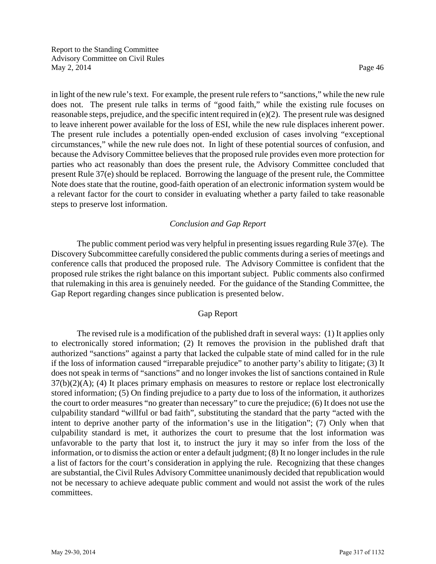in light of the new rule's text. For example, the present rule refers to "sanctions," while the new rule does not. The present rule talks in terms of "good faith," while the existing rule focuses on reasonable steps, prejudice, and the specific intent required in (e)(2). The present rule was designed to leave inherent power available for the loss of ESI, while the new rule displaces inherent power. The present rule includes a potentially open-ended exclusion of cases involving "exceptional circumstances," while the new rule does not. In light of these potential sources of confusion, and because the Advisory Committee believes that the proposed rule provides even more protection for parties who act reasonably than does the present rule, the Advisory Committee concluded that present Rule 37(e) should be replaced. Borrowing the language of the present rule, the Committee Note does state that the routine, good-faith operation of an electronic information system would be a relevant factor for the court to consider in evaluating whether a party failed to take reasonable steps to preserve lost information.

### *Conclusion and Gap Report*

The public comment period was very helpful in presenting issues regarding Rule 37(e). The Discovery Subcommittee carefully considered the public comments during a series of meetings and conference calls that produced the proposed rule. The Advisory Committee is confident that the proposed rule strikes the right balance on this important subject. Public comments also confirmed that rulemaking in this area is genuinely needed. For the guidance of the Standing Committee, the Gap Report regarding changes since publication is presented below.

# Gap Report

The revised rule is a modification of the published draft in several ways: (1) It applies only to electronically stored information; (2) It removes the provision in the published draft that authorized "sanctions" against a party that lacked the culpable state of mind called for in the rule if the loss of information caused "irreparable prejudice" to another party's ability to litigate; (3) It does not speak in terms of "sanctions" and no longer invokes the list of sanctions contained in Rule  $37(b)(2)(A)$ ; (4) It places primary emphasis on measures to restore or replace lost electronically stored information; (5) On finding prejudice to a party due to loss of the information, it authorizes the court to order measures "no greater than necessary" to cure the prejudice; (6) It does not use the culpability standard "willful or bad faith", substituting the standard that the party "acted with the intent to deprive another party of the information's use in the litigation"; (7) Only when that culpability standard is met, it authorizes the court to presume that the lost information was unfavorable to the party that lost it, to instruct the jury it may so infer from the loss of the information, or to dismiss the action or enter a default judgment; (8) It no longer includes in the rule a list of factors for the court's consideration in applying the rule. Recognizing that these changes are substantial, the Civil Rules Advisory Committee unanimously decided that republication would not be necessary to achieve adequate public comment and would not assist the work of the rules committees.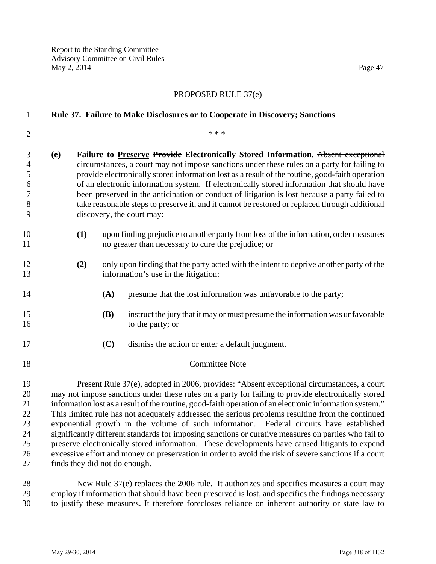# PROPOSED RULE 37(e)

| $\mathbf{1}$     | Rule 37. Failure to Make Disclosures or to Cooperate in Discovery; Sanctions                            |                                                                                   |                                                                                                                                |                                                                                                |  |  |
|------------------|---------------------------------------------------------------------------------------------------------|-----------------------------------------------------------------------------------|--------------------------------------------------------------------------------------------------------------------------------|------------------------------------------------------------------------------------------------|--|--|
| $\overline{2}$   |                                                                                                         |                                                                                   |                                                                                                                                | * * *                                                                                          |  |  |
| $\mathfrak{Z}$   | (e)                                                                                                     | Failure to Preserve Provide Electronically Stored Information. Absent exceptional |                                                                                                                                |                                                                                                |  |  |
| $\overline{4}$   |                                                                                                         |                                                                                   | circumstances, a court may not impose sanctions under these rules on a party for failing to                                    |                                                                                                |  |  |
| 5                |                                                                                                         |                                                                                   | provide electronically stored information lost as a result of the routine, good-faith operation                                |                                                                                                |  |  |
| $\boldsymbol{6}$ |                                                                                                         |                                                                                   | of an electronic information system. If electronically stored information that should have                                     |                                                                                                |  |  |
| $\overline{7}$   |                                                                                                         |                                                                                   | been preserved in the anticipation or conduct of litigation is lost because a party failed to                                  |                                                                                                |  |  |
| $8\,$            |                                                                                                         |                                                                                   |                                                                                                                                | take reasonable steps to preserve it, and it cannot be restored or replaced through additional |  |  |
| 9                |                                                                                                         | discovery, the court may:                                                         |                                                                                                                                |                                                                                                |  |  |
| 10               |                                                                                                         | $\Omega$                                                                          |                                                                                                                                | upon finding prejudice to another party from loss of the information, order measures           |  |  |
| 11               |                                                                                                         |                                                                                   |                                                                                                                                | no greater than necessary to cure the prejudice; or                                            |  |  |
| 12               |                                                                                                         |                                                                                   |                                                                                                                                |                                                                                                |  |  |
| 13               |                                                                                                         | (2)                                                                               | only upon finding that the party acted with the intent to deprive another party of the<br>information's use in the litigation: |                                                                                                |  |  |
|                  |                                                                                                         |                                                                                   |                                                                                                                                |                                                                                                |  |  |
| 14               |                                                                                                         |                                                                                   | <u>(A)</u>                                                                                                                     | presume that the lost information was unfavorable to the party;                                |  |  |
| 15               |                                                                                                         |                                                                                   | (B)                                                                                                                            | instruct the jury that it may or must presume the information was unfavorable                  |  |  |
| 16               |                                                                                                         |                                                                                   |                                                                                                                                | to the party; or                                                                               |  |  |
| 17               |                                                                                                         |                                                                                   | $\omega$                                                                                                                       | dismiss the action or enter a default judgment.                                                |  |  |
| 18               | <b>Committee Note</b>                                                                                   |                                                                                   |                                                                                                                                |                                                                                                |  |  |
| 19               |                                                                                                         |                                                                                   |                                                                                                                                | Present Rule 37(e), adopted in 2006, provides: "Absent exceptional circumstances, a court      |  |  |
| 20               | may not impose sanctions under these rules on a party for failing to provide electronically stored      |                                                                                   |                                                                                                                                |                                                                                                |  |  |
| 21               | information lost as a result of the routine, good-faith operation of an electronic information system." |                                                                                   |                                                                                                                                |                                                                                                |  |  |
| 22               | This limited rule has not adequately addressed the serious problems resulting from the continued        |                                                                                   |                                                                                                                                |                                                                                                |  |  |
| 23               | exponential growth in the volume of such information. Federal circuits have established                 |                                                                                   |                                                                                                                                |                                                                                                |  |  |
| 24               | significantly different standards for imposing sanctions or curative measures on parties who fail to    |                                                                                   |                                                                                                                                |                                                                                                |  |  |
| 25               | preserve electronically stored information. These developments have caused litigants to expend          |                                                                                   |                                                                                                                                |                                                                                                |  |  |
| 26               | excessive effort and money on preservation in order to avoid the risk of severe sanctions if a court    |                                                                                   |                                                                                                                                |                                                                                                |  |  |
| 27               |                                                                                                         | finds they did not do enough.                                                     |                                                                                                                                |                                                                                                |  |  |

 New Rule 37(e) replaces the 2006 rule. It authorizes and specifies measures a court may employ if information that should have been preserved is lost, and specifies the findings necessary to justify these measures. It therefore forecloses reliance on inherent authority or state law to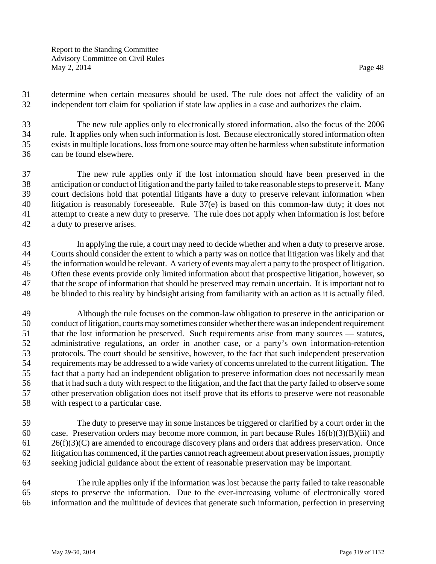determine when certain measures should be used. The rule does not affect the validity of an independent tort claim for spoliation if state law applies in a case and authorizes the claim.

 The new rule applies only to electronically stored information, also the focus of the 2006 rule. It applies only when such information is lost. Because electronically stored information often exists in multiple locations, loss from one source may often be harmless when substitute information can be found elsewhere.

 The new rule applies only if the lost information should have been preserved in the anticipation or conduct of litigation and the party failed to take reasonable steps to preserve it. Many court decisions hold that potential litigants have a duty to preserve relevant information when litigation is reasonably foreseeable. Rule 37(e) is based on this common-law duty; it does not attempt to create a new duty to preserve. The rule does not apply when information is lost before a duty to preserve arises.

 In applying the rule, a court may need to decide whether and when a duty to preserve arose. Courts should consider the extent to which a party was on notice that litigation was likely and that the information would be relevant. A variety of events may alert a party to the prospect of litigation. Often these events provide only limited information about that prospective litigation, however, so that the scope of information that should be preserved may remain uncertain. It is important not to be blinded to this reality by hindsight arising from familiarity with an action as it is actually filed.

 Although the rule focuses on the common-law obligation to preserve in the anticipation or conduct of litigation, courts may sometimes consider whether there was an independent requirement that the lost information be preserved. Such requirements arise from many sources — statutes, administrative regulations, an order in another case, or a party's own information-retention protocols. The court should be sensitive, however, to the fact that such independent preservation requirements may be addressed to a wide variety of concerns unrelated to the current litigation. The fact that a party had an independent obligation to preserve information does not necessarily mean that it had such a duty with respect to the litigation, and the fact that the party failed to observe some other preservation obligation does not itself prove that its efforts to preserve were not reasonable with respect to a particular case.

 The duty to preserve may in some instances be triggered or clarified by a court order in the case. Preservation orders may become more common, in part because Rules 16(b)(3)(B)(iii) and  $26(f)(3)(C)$  are amended to encourage discovery plans and orders that address preservation. Once litigation has commenced, if the parties cannot reach agreement about preservation issues, promptly seeking judicial guidance about the extent of reasonable preservation may be important.

 The rule applies only if the information was lost because the party failed to take reasonable steps to preserve the information. Due to the ever-increasing volume of electronically stored information and the multitude of devices that generate such information, perfection in preserving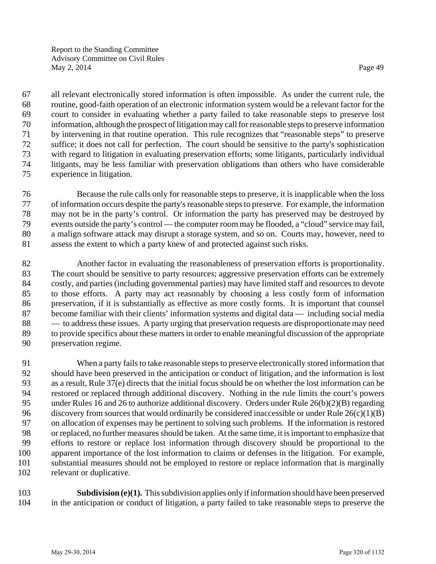all relevant electronically stored information is often impossible. As under the current rule, the routine, good-faith operation of an electronic information system would be a relevant factor for the court to consider in evaluating whether a party failed to take reasonable steps to preserve lost information, although the prospect of litigation may call for reasonable steps to preserve information

 by intervening in that routine operation. This rule recognizes that "reasonable steps" to preserve suffice; it does not call for perfection. The court should be sensitive to the party's sophistication with regard to litigation in evaluating preservation efforts; some litigants, particularly individual litigants, may be less familiar with preservation obligations than others who have considerable experience in litigation.

 Because the rule calls only for reasonable steps to preserve, it is inapplicable when the loss of information occurs despite the party's reasonable steps to preserve. For example, the information may not be in the party's control. Or information the party has preserved may be destroyed by events outside the party's control — the computer room may be flooded, a "cloud" service may fail, a malign software attack may disrupt a storage system, and so on. Courts may, however, need to assess the extent to which a party knew of and protected against such risks.

 Another factor in evaluating the reasonableness of preservation efforts is proportionality. The court should be sensitive to party resources; aggressive preservation efforts can be extremely costly, and parties (including governmental parties) may have limited staff and resources to devote to those efforts. A party may act reasonably by choosing a less costly form of information preservation, if it is substantially as effective as more costly forms. It is important that counsel become familiar with their clients' information systems and digital data — including social media — to address these issues. A party urging that preservation requests are disproportionate may need to provide specifics about these matters in order to enable meaningful discussion of the appropriate preservation regime.

 When a party fails to take reasonable steps to preserve electronically stored information that should have been preserved in the anticipation or conduct of litigation, and the information is lost as a result, Rule 37(e) directs that the initial focus should be on whether the lost information can be restored or replaced through additional discovery. Nothing in the rule limits the court's powers under Rules 16 and 26 to authorize additional discovery. Orders under Rule 26(b)(2)(B) regarding 96 discovery from sources that would ordinarily be considered inaccessible or under Rule  $26(c)(1)(B)$  on allocation of expenses may be pertinent to solving such problems. If the information is restored or replaced, no further measures should be taken. At the same time, it is important to emphasize that efforts to restore or replace lost information through discovery should be proportional to the apparent importance of the lost information to claims or defenses in the litigation. For example, substantial measures should not be employed to restore or replace information that is marginally relevant or duplicative.

 **Subdivision (e)(1).** This subdivision applies only if information should have been preserved in the anticipation or conduct of litigation, a party failed to take reasonable steps to preserve the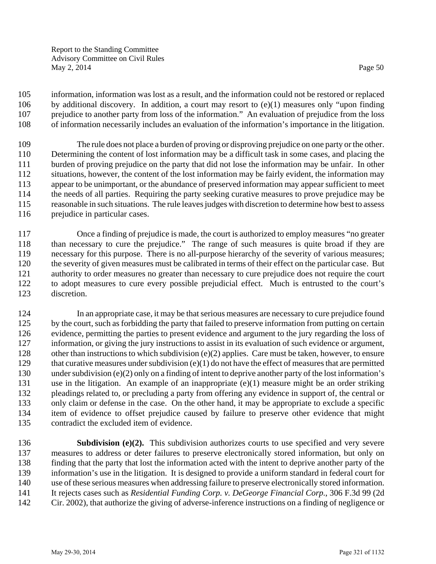information, information was lost as a result, and the information could not be restored or replaced by additional discovery. In addition, a court may resort to (e)(1) measures only "upon finding prejudice to another party from loss of the information." An evaluation of prejudice from the loss of information necessarily includes an evaluation of the information's importance in the litigation.

 The rule does not place a burden of proving or disproving prejudice on one party or the other. Determining the content of lost information may be a difficult task in some cases, and placing the burden of proving prejudice on the party that did not lose the information may be unfair. In other situations, however, the content of the lost information may be fairly evident, the information may appear to be unimportant, or the abundance of preserved information may appear sufficient to meet the needs of all parties. Requiring the party seeking curative measures to prove prejudice may be reasonable in such situations. The rule leaves judges with discretion to determine how best to assess prejudice in particular cases.

 Once a finding of prejudice is made, the court is authorized to employ measures "no greater 118 than necessary to cure the prejudice." The range of such measures is quite broad if they are necessary for this purpose. There is no all-purpose hierarchy of the severity of various measures; the severity of given measures must be calibrated in terms of their effect on the particular case. But authority to order measures no greater than necessary to cure prejudice does not require the court to adopt measures to cure every possible prejudicial effect. Much is entrusted to the court's discretion.

 In an appropriate case, it may be that serious measures are necessary to cure prejudice found 125 by the court, such as forbidding the party that failed to preserve information from putting on certain evidence, permitting the parties to present evidence and argument to the jury regarding the loss of information, or giving the jury instructions to assist in its evaluation of such evidence or argument, 128 other than instructions to which subdivision (e)(2) applies. Care must be taken, however, to ensure 129 that curative measures under subdivision  $(e)(1)$  do not have the effect of measures that are permitted under subdivision (e)(2) only on a finding of intent to deprive another party of the lost information's use in the litigation. An example of an inappropriate (e)(1) measure might be an order striking pleadings related to, or precluding a party from offering any evidence in support of, the central or only claim or defense in the case. On the other hand, it may be appropriate to exclude a specific item of evidence to offset prejudice caused by failure to preserve other evidence that might contradict the excluded item of evidence.

**Subdivision (e)(2).** This subdivision authorizes courts to use specified and very severe measures to address or deter failures to preserve electronically stored information, but only on finding that the party that lost the information acted with the intent to deprive another party of the information's use in the litigation. It is designed to provide a uniform standard in federal court for use of these serious measures when addressing failure to preserve electronically stored information. It rejects cases such as *Residential Funding Corp. v. DeGeorge Financial Corp.*, 306 F.3d 99 (2d Cir. 2002), that authorize the giving of adverse-inference instructions on a finding of negligence or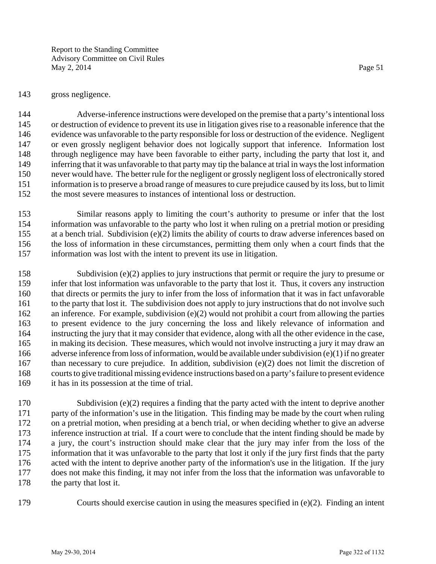### gross negligence.

 Adverse-inference instructions were developed on the premise that a party's intentional loss or destruction of evidence to prevent its use in litigation gives rise to a reasonable inference that the evidence was unfavorable to the party responsible for loss or destruction of the evidence. Negligent or even grossly negligent behavior does not logically support that inference. Information lost through negligence may have been favorable to either party, including the party that lost it, and inferring that it was unfavorable to that party may tip the balance at trial in ways the lost information never would have. The better rule for the negligent or grossly negligent loss of electronically stored information is to preserve a broad range of measures to cure prejudice caused by its loss, but to limit the most severe measures to instances of intentional loss or destruction.

 Similar reasons apply to limiting the court's authority to presume or infer that the lost information was unfavorable to the party who lost it when ruling on a pretrial motion or presiding at a bench trial. Subdivision (e)(2) limits the ability of courts to draw adverse inferences based on the loss of information in these circumstances, permitting them only when a court finds that the information was lost with the intent to prevent its use in litigation.

 Subdivision (e)(2) applies to jury instructions that permit or require the jury to presume or infer that lost information was unfavorable to the party that lost it. Thus, it covers any instruction that directs or permits the jury to infer from the loss of information that it was in fact unfavorable 161 to the party that lost it. The subdivision does not apply to jury instructions that do not involve such 162 an inference. For example, subdivision (e)(2) would not prohibit a court from allowing the parties to present evidence to the jury concerning the loss and likely relevance of information and instructing the jury that it may consider that evidence, along with all the other evidence in the case, in making its decision. These measures, which would not involve instructing a jury it may draw an adverse inference from loss of information, would be available under subdivision (e)(1) if no greater 167 than necessary to cure prejudice. In addition, subdivision (e)(2) does not limit the discretion of courts to give traditional missing evidence instructions based on a party's failure to present evidence it has in its possession at the time of trial.

 Subdivision (e)(2) requires a finding that the party acted with the intent to deprive another party of the information's use in the litigation. This finding may be made by the court when ruling on a pretrial motion, when presiding at a bench trial, or when deciding whether to give an adverse inference instruction at trial. If a court were to conclude that the intent finding should be made by a jury, the court's instruction should make clear that the jury may infer from the loss of the information that it was unfavorable to the party that lost it only if the jury first finds that the party 176 acted with the intent to deprive another party of the information's use in the litigation. If the jury does not make this finding, it may not infer from the loss that the information was unfavorable to the party that lost it.

Courts should exercise caution in using the measures specified in (e)(2). Finding an intent